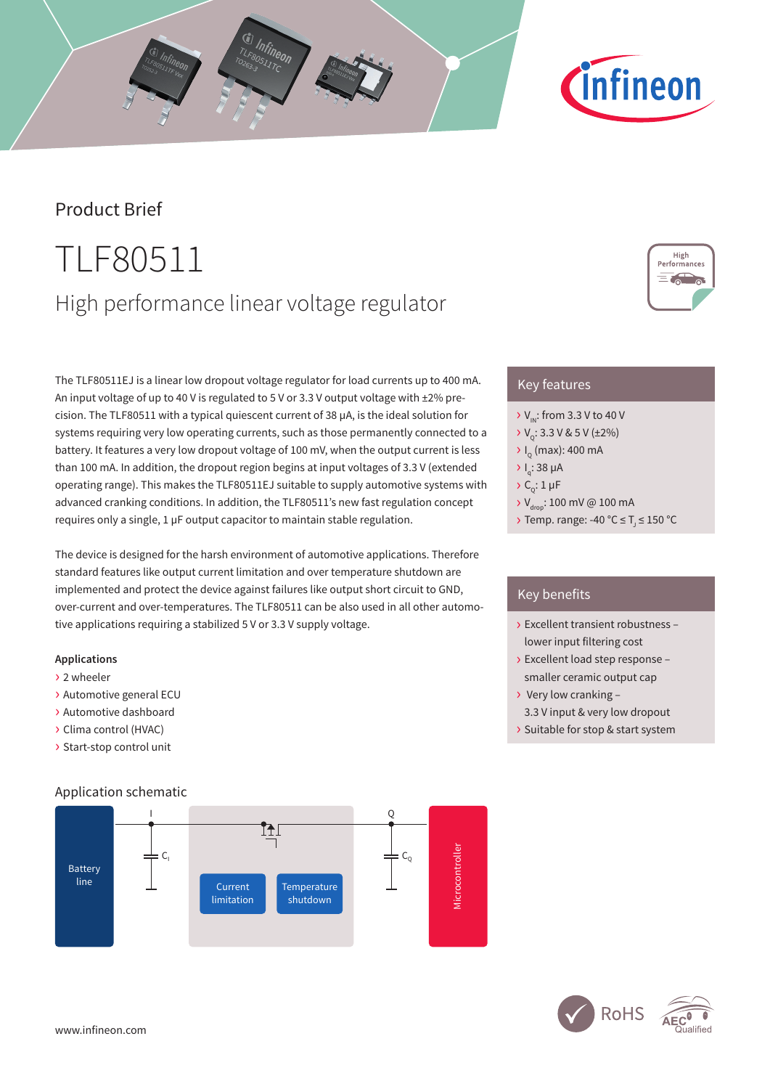# Product Brief

# TLF80511 High performance linear voltage regulator

The TLF80511EJ is a linear low dropout voltage regulator for load currents up to 400 mA. An input voltage of up to 40 V is regulated to 5 V or 3.3 V output voltage with ±2% precision. The TLF80511 with a typical quiescent current of 38 µA, is the ideal solution for systems requiring very low operating currents, such as those permanently connected to a battery. It features a very low dropout voltage of 100 mV, when the output current is less than 100 mA. In addition, the dropout region begins at input voltages of 3.3 V (extended operating range). This makes the TLF80511EJ suitable to supply automotive systems with advanced cranking conditions. In addition, the TLF80511's new fast regulation concept requires only a single, 1 µF output capacitor to maintain stable regulation.

The device is designed for the harsh environment of automotive applications. Therefore standard features like output current limitation and over temperature shutdown are implemented and protect the device against failures like output short circuit to GND, over-current and over-temperatures. The TLF80511 can be also used in all other automotive applications requiring a stabilized 5 V or 3.3 V supply voltage.

### **Applications**

- › 2 wheeler
- › Automotive general ECU
- › Automotive dashboard
- › Clima control (HVAC)
- › Start-stop control unit

### Application schematic



# Key features

- $\rightarrow$  V<sub>IN</sub>: from 3.3 V to 40 V
- $V_c$ : 3.3 V & 5 V (±2%)
- $\rightarrow$  I<sub>Q</sub> (max): 400 mA
- $\overline{Q}$  I<sub>q</sub>: 38 µA
- $\sum_{i=1}^{n}$  1 µF
- $\rightarrow$  V<sub>drop</sub>: 100 mV @ 100 mA
- > Temp. range: -40 °C  $\leq$  T<sub>J</sub>  $\leq$  150 °C

## Key benefits

- › Excellent transient robustness lower input filtering cost
- › Excellent load step response smaller ceramic output cap
- › Very low cranking 3.3 V input & very low dropout
- › Suitable for stop & start system



**RoHS**